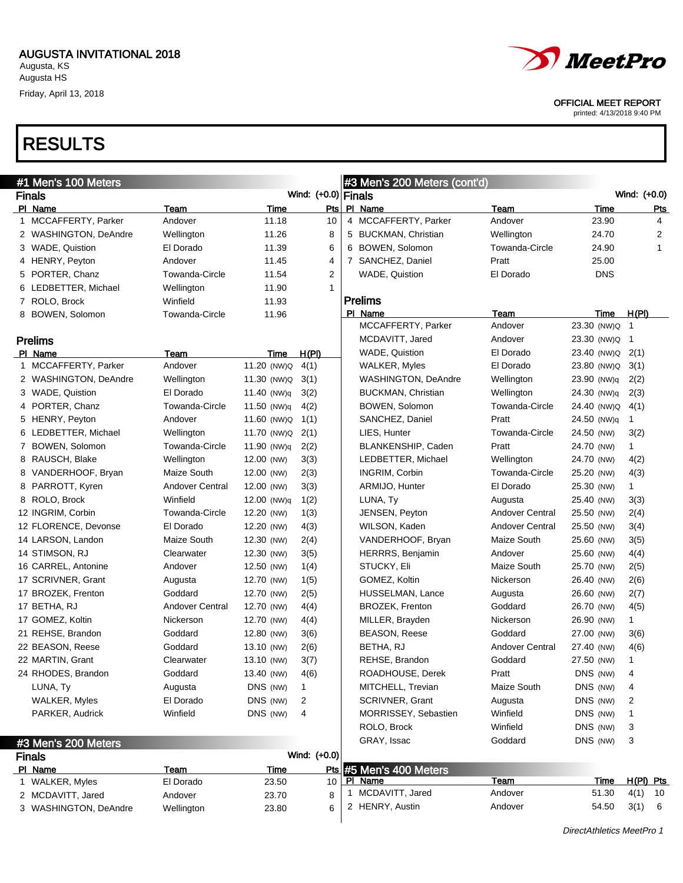Augusta HS Friday, April 13, 2018

## RESULTS



### OFFICIAL MEET REPORT

| #1 Men's 100 Meters<br>#3 Men's 200 Meters (cont'd) |                       |                 |             |                     |   |                            |                           |                  |              |  |  |  |  |  |  |  |  |  |
|-----------------------------------------------------|-----------------------|-----------------|-------------|---------------------|---|----------------------------|---------------------------|------------------|--------------|--|--|--|--|--|--|--|--|--|
|                                                     | <b>Finals</b>         |                 |             | Wind: (+0.0) Finals |   |                            |                           | Wind: (+0.0)     |              |  |  |  |  |  |  |  |  |  |
|                                                     | PI Name               | Team            | Time        | Pts                 |   | PI Name                    | Team                      | Time             | <b>Pts</b>   |  |  |  |  |  |  |  |  |  |
|                                                     | 1 MCCAFFERTY, Parker  | Andover         | 11.18       | 10                  |   | 4 MCCAFFERTY, Parker       | Andover                   | 23.90            | 4            |  |  |  |  |  |  |  |  |  |
|                                                     | 2 WASHINGTON, DeAndre | Wellington      | 11.26       | 8                   |   | 5 BUCKMAN, Christian       | Wellington                | 24.70            | 2            |  |  |  |  |  |  |  |  |  |
|                                                     | 3 WADE, Quistion      | El Dorado       | 11.39       | 6                   |   | 6 BOWEN, Solomon           | Towanda-Circle            | 24.90            | $\mathbf{1}$ |  |  |  |  |  |  |  |  |  |
|                                                     | 4 HENRY, Peyton       | Andover         | 11.45       | 4                   |   | 7 SANCHEZ, Daniel          | Pratt                     | 25.00            |              |  |  |  |  |  |  |  |  |  |
|                                                     | 5 PORTER, Chanz       | Towanda-Circle  | 11.54       | 2                   |   | <b>WADE, Quistion</b>      | El Dorado                 | <b>DNS</b>       |              |  |  |  |  |  |  |  |  |  |
|                                                     | 6 LEDBETTER, Michael  | Wellington      | 11.90       | 1                   |   |                            |                           |                  |              |  |  |  |  |  |  |  |  |  |
|                                                     | 7 ROLO, Brock         | Winfield        | 11.93       |                     |   | <b>Prelims</b>             |                           |                  |              |  |  |  |  |  |  |  |  |  |
|                                                     | 8 BOWEN, Solomon      | Towanda-Circle  | 11.96       |                     |   | PI Name                    | Team                      | Time             | H(PI)        |  |  |  |  |  |  |  |  |  |
|                                                     |                       |                 |             |                     |   | MCCAFFERTY, Parker         | Andover                   | 23.30 (NW)Q 1    |              |  |  |  |  |  |  |  |  |  |
|                                                     | <b>Prelims</b>        |                 |             |                     |   | MCDAVITT, Jared            | Andover                   | 23.30 (NW)Q 1    |              |  |  |  |  |  |  |  |  |  |
|                                                     | PI Name               | Team            | Time        | H(PI)               |   | WADE, Quistion             | El Dorado                 | 23.40 (NW)Q 2(1) |              |  |  |  |  |  |  |  |  |  |
| 1                                                   | MCCAFFERTY, Parker    | Andover         | 11.20 (NW)Q | 4(1)                |   | <b>WALKER, Myles</b>       | El Dorado                 | 23.80 (NW)Q 3(1) |              |  |  |  |  |  |  |  |  |  |
|                                                     | 2 WASHINGTON, DeAndre | Wellington      | 11.30 (NW)Q | 3(1)                |   | <b>WASHINGTON, DeAndre</b> | Wellington                | 23.90 (NW)q      | 2(2)         |  |  |  |  |  |  |  |  |  |
|                                                     | 3 WADE, Quistion      | El Dorado       | 11.40 (NW)q | 3(2)                |   | <b>BUCKMAN, Christian</b>  | Wellington                | 24.30 (NW)q      | 2(3)         |  |  |  |  |  |  |  |  |  |
|                                                     | 4 PORTER, Chanz       | Towanda-Circle  | 11.50 (NW)q | 4(2)                |   | BOWEN, Solomon             | Towanda-Circle            | 24.40 (NW)Q      | 4(1)         |  |  |  |  |  |  |  |  |  |
|                                                     | 5 HENRY, Peyton       | Andover         | 11.60 (NW)Q | 1(1)                |   | SANCHEZ, Daniel            | Pratt                     | 24.50 (NW)q      | 1            |  |  |  |  |  |  |  |  |  |
|                                                     | 6 LEDBETTER, Michael  | Wellington      | 11.70 (NW)Q | 2(1)                |   | LIES, Hunter               | Towanda-Circle            | 24.50 (NW)       | 3(2)         |  |  |  |  |  |  |  |  |  |
|                                                     | 7 BOWEN, Solomon      | Towanda-Circle  | 11.90 (NW)q | 2(2)                |   | BLANKENSHIP, Caden         | Pratt                     | 24.70 (NW)       | $\mathbf{1}$ |  |  |  |  |  |  |  |  |  |
|                                                     | 8 RAUSCH, Blake       | Wellington      | 12.00 (NW)  | 3(3)                |   | LEDBETTER, Michael         | Wellington                | 24.70 (NW)       | 4(2)         |  |  |  |  |  |  |  |  |  |
|                                                     | 8 VANDERHOOF, Bryan   | Maize South     | 12.00 (NW)  | 2(3)                |   | INGRIM, Corbin             | <b>Towanda-Circle</b>     | 25.20 (NW)       | 4(3)         |  |  |  |  |  |  |  |  |  |
|                                                     | 8 PARROTT, Kyren      | Andover Central | 12.00 (NW)  | 3(3)                |   | ARMIJO, Hunter             | El Dorado                 | 25.30 (NW)       | $\mathbf{1}$ |  |  |  |  |  |  |  |  |  |
|                                                     | 8 ROLO, Brock         | Winfield        | 12.00 (NW)q | 1(2)                |   | LUNA, Ty                   | Augusta                   | 25.40 (NW)       | 3(3)         |  |  |  |  |  |  |  |  |  |
|                                                     | 12 INGRIM, Corbin     | Towanda-Circle  | 12.20 (NW)  | 1(3)                |   | JENSEN, Peyton             | <b>Andover Central</b>    | 25.50 (NW)       | 2(4)         |  |  |  |  |  |  |  |  |  |
|                                                     | 12 FLORENCE, Devonse  | El Dorado       | 12.20 (NW)  | 4(3)                |   | WILSON, Kaden              | <b>Andover Central</b>    | 25.50 (NW)       | 3(4)         |  |  |  |  |  |  |  |  |  |
|                                                     | 14 LARSON, Landon     | Maize South     | 12.30 (NW)  | 2(4)                |   | VANDERHOOF, Bryan          | Maize South               | 25.60 (NW)       | 3(5)         |  |  |  |  |  |  |  |  |  |
|                                                     | 14 STIMSON, RJ        | Clearwater      | 12.30 (NW)  | 3(5)                |   | HERRRS, Benjamin           | Andover                   | 25.60 (NW)       | 4(4)         |  |  |  |  |  |  |  |  |  |
|                                                     | 16 CARREL, Antonine   | Andover         | 12.50 (NW)  | 1(4)                |   | STUCKY, Eli                | Maize South               | 25.70 (NW)       | 2(5)         |  |  |  |  |  |  |  |  |  |
|                                                     | 17 SCRIVNER, Grant    | Augusta         | 12.70 (NW)  | 1(5)                |   | GOMEZ, Koltin              | Nickerson                 | 26.40 (NW)       | 2(6)         |  |  |  |  |  |  |  |  |  |
|                                                     | 17 BROZEK, Frenton    | Goddard         | 12.70 (NW)  | 2(5)                |   | HUSSELMAN, Lance           | Augusta                   | 26.60 (NW)       | 2(7)         |  |  |  |  |  |  |  |  |  |
|                                                     | 17 BETHA, RJ          | Andover Central | 12.70 (NW)  | 4(4)                |   | <b>BROZEK, Frenton</b>     | Goddard                   | 26.70 (NW)       | 4(5)         |  |  |  |  |  |  |  |  |  |
|                                                     | 17 GOMEZ, Koltin      | Nickerson       | 12.70 (NW)  | 4(4)                |   | MILLER, Brayden            | Nickerson                 | 26.90 (NW)       | $\mathbf{1}$ |  |  |  |  |  |  |  |  |  |
|                                                     | 21 REHSE, Brandon     | Goddard         | 12.80 (NW)  | 3(6)                |   | <b>BEASON, Reese</b>       | Goddard                   | 27.00 (NW)       | 3(6)         |  |  |  |  |  |  |  |  |  |
|                                                     | 22 BEASON, Reese      | Goddard         | 13.10 (NW)  | 2(6)                |   | BETHA, RJ                  | <b>Andover Central</b>    | 27.40 (NW)       | 4(6)         |  |  |  |  |  |  |  |  |  |
|                                                     | 22 MARTIN, Grant      | Clearwater      | 13.10 (NW)  | 3(7)                |   | REHSE, Brandon             | Goddard                   | 27.50 (NW)       | 1            |  |  |  |  |  |  |  |  |  |
|                                                     | 24 RHODES, Brandon    | Goddard         | 13.40 (NW)  | 4(6)                |   | ROADHOUSE, Derek           | Pratt                     | DNS (NW)         | 4            |  |  |  |  |  |  |  |  |  |
|                                                     | LUNA, Ty              | Augusta         | DNS (NW)    | 1                   |   | MITCHELL, Trevian          | Maize South               | DNS (NW)         | 4            |  |  |  |  |  |  |  |  |  |
|                                                     | <b>WALKER, Myles</b>  | El Dorado       | DNS (NW)    | 2                   |   | SCRIVNER, Grant            | Augusta                   | DNS (NW)         | 2            |  |  |  |  |  |  |  |  |  |
|                                                     | PARKER, Audrick       | Winfield        |             |                     |   | MORRISSEY, Sebastien       | Winfield                  |                  |              |  |  |  |  |  |  |  |  |  |
|                                                     |                       |                 | DNS (NW)    | 4                   |   |                            |                           | DNS (NW)         | 1            |  |  |  |  |  |  |  |  |  |
|                                                     |                       |                 |             |                     |   | ROLO, Brock                | Winfield                  | DNS (NW)         | 3            |  |  |  |  |  |  |  |  |  |
|                                                     | #3 Men's 200 Meters   |                 |             |                     |   | GRAY, Issac                | Goddard                   | DNS (NW)         | 3            |  |  |  |  |  |  |  |  |  |
|                                                     | <b>Finals</b>         |                 |             | Wind: (+0.0)        |   |                            |                           |                  |              |  |  |  |  |  |  |  |  |  |
|                                                     | PI Name               | Team            | Time        | Pts                 |   | #5 Men's 400 Meters        |                           |                  |              |  |  |  |  |  |  |  |  |  |
|                                                     | 1 WALKER, Myles       | El Dorado       | 23.50       | 10                  |   | PI Name                    | <b>Team</b>               | Time             | H(PI) Pts    |  |  |  |  |  |  |  |  |  |
|                                                     | 2 MCDAVITT, Jared     | Andover         | 23.70       | 8                   | 1 | MCDAVITT, Jared            | Andover                   | 51.30            | $4(1)$ 10    |  |  |  |  |  |  |  |  |  |
|                                                     | 3 WASHINGTON, DeAndre | Wellington      | 23.80       | 6                   |   | 2 HENRY, Austin            | Andover                   | 54.50            | 3(1)<br>- 6  |  |  |  |  |  |  |  |  |  |
|                                                     |                       |                 |             |                     |   |                            | DirectAthletics MeetPro 1 |                  |              |  |  |  |  |  |  |  |  |  |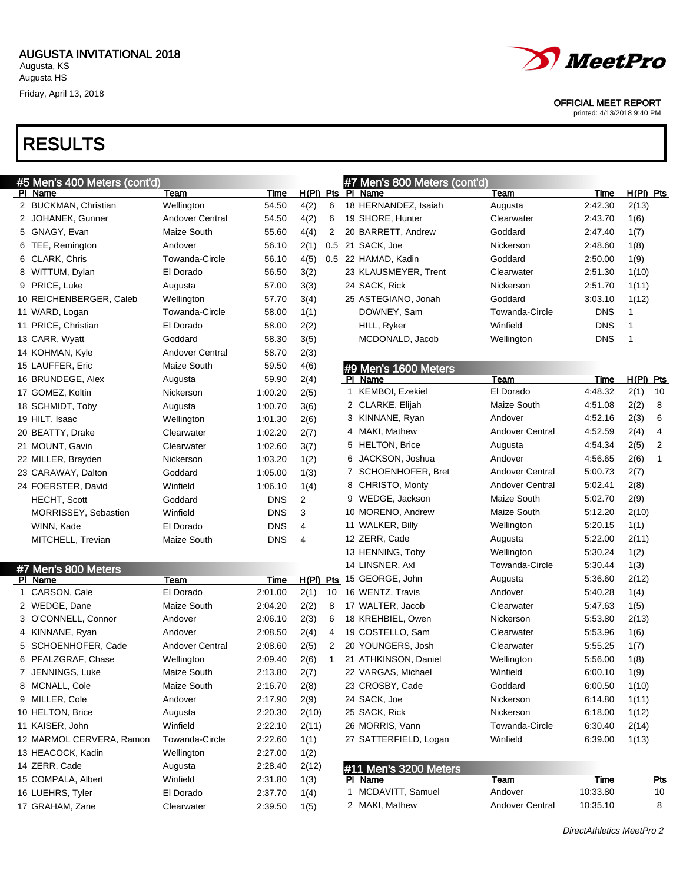



### OFFICIAL MEET REPORT

printed: 4/13/2018 9:40 PM

# RESULTS

| #5 Men's 400 Meters (cont'd) |                                |                        |            |                |     |   | #7 Men's 800 Meters (cont'd) |                        |            |           |            |
|------------------------------|--------------------------------|------------------------|------------|----------------|-----|---|------------------------------|------------------------|------------|-----------|------------|
|                              | PI Name                        | Team                   | Time       |                |     |   | $H(PI)$ Pts PI Name          | Team                   | Time       | H(PI) Pts |            |
|                              | 2 BUCKMAN, Christian           | Wellington             | 54.50      | 4(2)           | 6   |   | 18 HERNANDEZ, Isaiah         | Augusta                | 2:42.30    | 2(13)     |            |
|                              | 2 JOHANEK, Gunner              | <b>Andover Central</b> | 54.50      | 4(2)           | 6   |   | 19 SHORE, Hunter             | Clearwater             | 2:43.70    | 1(6)      |            |
|                              | 5 GNAGY, Evan                  | Maize South            | 55.60      | 4(4)           | 2   |   | 20 BARRETT, Andrew           | Goddard                | 2:47.40    | 1(7)      |            |
| 6                            | TEE, Remington                 | Andover                | 56.10      | 2(1)           | 0.5 |   | 21 SACK, Joe                 | Nickerson              | 2:48.60    | 1(8)      |            |
|                              | 6 CLARK, Chris                 | Towanda-Circle         | 56.10      | 4(5)           | 0.5 |   | 22 HAMAD, Kadin              | Goddard                | 2:50.00    | 1(9)      |            |
| 8                            | WITTUM, Dylan                  | El Dorado              | 56.50      | 3(2)           |     |   | 23 KLAUSMEYER, Trent         | Clearwater             | 2:51.30    | 1(10)     |            |
|                              | 9 PRICE, Luke                  | Augusta                | 57.00      | 3(3)           |     |   | 24 SACK, Rick                | Nickerson              | 2:51.70    | 1(11)     |            |
|                              | 10 REICHENBERGER, Caleb        | Wellington             | 57.70      | 3(4)           |     |   | 25 ASTEGIANO, Jonah          | Goddard                | 3:03.10    | 1(12)     |            |
|                              | 11 WARD, Logan                 | <b>Towanda-Circle</b>  | 58.00      | 1(1)           |     |   | DOWNEY, Sam                  | <b>Towanda-Circle</b>  | <b>DNS</b> | 1         |            |
|                              | 11 PRICE, Christian            | El Dorado              | 58.00      | 2(2)           |     |   | HILL, Ryker                  | Winfield               | <b>DNS</b> | 1         |            |
|                              | 13 CARR, Wyatt                 | Goddard                | 58.30      | 3(5)           |     |   | MCDONALD, Jacob              | Wellington             | <b>DNS</b> | 1         |            |
|                              | 14 KOHMAN, Kyle                | <b>Andover Central</b> | 58.70      | 2(3)           |     |   |                              |                        |            |           |            |
|                              | 15 LAUFFER, Eric               | Maize South            | 59.50      | 4(6)           |     |   | #9 Men's 1600 Meters         |                        |            |           |            |
|                              | 16 BRUNDEGE, Alex              | Augusta                | 59.90      | 2(4)           |     |   | PI Name                      | Team                   | Time       | H(PI)     | <u>Pts</u> |
|                              | 17 GOMEZ, Koltin               | Nickerson              | 1:00.20    | 2(5)           |     | 1 | KEMBOI, Ezekiel              | El Dorado              | 4:48.32    | 2(1)      | 10         |
|                              | 18 SCHMIDT, Toby               | Augusta                | 1:00.70    | 3(6)           |     |   | 2 CLARKE, Elijah             | Maize South            | 4:51.08    | 2(2)      | 8          |
|                              | 19 HILT, Isaac                 | Wellington             | 1:01.30    | 2(6)           |     | 3 | KINNANE, Ryan                | Andover                | 4:52.16    | 2(3)      | 6          |
|                              | 20 BEATTY, Drake               | Clearwater             | 1:02.20    | 2(7)           |     |   | 4 MAKI, Mathew               | <b>Andover Central</b> | 4:52.59    | 2(4)      | 4          |
|                              | 21 MOUNT, Gavin                | Clearwater             | 1:02.60    | 3(7)           |     |   | 5 HELTON, Brice              | Augusta                | 4:54.34    | 2(5)      | 2          |
|                              | 22 MILLER, Brayden             | Nickerson              | 1:03.20    | 1(2)           |     | 6 | JACKSON, Joshua              | Andover                | 4:56.65    | 2(6)      | 1          |
|                              | 23 CARAWAY, Dalton             | Goddard                | 1:05.00    | 1(3)           |     |   | 7 SCHOENHOFER, Bret          | <b>Andover Central</b> | 5:00.73    | 2(7)      |            |
|                              | 24 FOERSTER, David             | Winfield               | 1:06.10    | 1(4)           |     | 8 | CHRISTO, Monty               | <b>Andover Central</b> | 5:02.41    | 2(8)      |            |
|                              | <b>HECHT, Scott</b>            | Goddard                | <b>DNS</b> | 2              |     | 9 | WEDGE, Jackson               | Maize South            | 5:02.70    | 2(9)      |            |
|                              | MORRISSEY, Sebastien           | Winfield               | <b>DNS</b> | 3              |     |   | 10 MORENO, Andrew            | Maize South            | 5:12.20    | 2(10)     |            |
|                              | WINN, Kade                     | El Dorado              | <b>DNS</b> | $\overline{4}$ |     |   | 11 WALKER, Billy             | Wellington             | 5:20.15    | 1(1)      |            |
|                              | MITCHELL, Trevian              | Maize South            | <b>DNS</b> | 4              |     |   | 12 ZERR, Cade                | Augusta                | 5:22.00    | 2(11)     |            |
|                              |                                |                        |            |                |     |   | 13 HENNING, Toby             | Wellington             | 5:30.24    | 1(2)      |            |
|                              |                                |                        |            |                |     |   | 14 LINSNER, Axl              | <b>Towanda-Circle</b>  | 5:30.44    | 1(3)      |            |
|                              | #7 Men's 800 Meters<br>PI Name | Team                   | Time       | H(PI)          | Pts |   | 15 GEORGE, John              | Augusta                | 5:36.60    | 2(12)     |            |
|                              | CARSON, Cale                   | El Dorado              | 2:01.00    | 2(1)           | 10  |   | 16 WENTZ, Travis             | Andover                | 5:40.28    | 1(4)      |            |
|                              | 2 WEDGE, Dane                  | Maize South            | 2:04.20    | 2(2)           | 8   |   | 17 WALTER, Jacob             | Clearwater             | 5:47.63    | 1(5)      |            |
|                              | 3 O'CONNELL, Connor            | Andover                | 2:06.10    | 2(3)           | 6   |   | 18 KREHBIEL, Owen            | Nickerson              | 5:53.80    | 2(13)     |            |
|                              | 4 KINNANE, Ryan                | Andover                | 2:08.50    | 2(4)           | 4   |   | 19 COSTELLO, Sam             | Clearwater             | 5:53.96    | 1(6)      |            |
|                              | 5 SCHOENHOFER, Cade            | <b>Andover Central</b> | 2:08.60    | 2(5)           | 2   |   | 20 YOUNGERS, Josh            | Clearwater             | 5:55.25    | 1(7)      |            |
|                              | 6 PFALZGRAF, Chase             | Wellington             | 2:09.40    | 2(6)           | 1   |   | 21 ATHKINSON, Daniel         | Wellington             | 5:56.00    | 1(8)      |            |
|                              | 7 JENNINGS, Luke               | Maize South            | 2:13.80    |                |     |   | 22 VARGAS, Michael           | Winfield               | 6:00.10    |           |            |
|                              | 8 MCNALL, Cole                 | Maize South            | 2:16.70    | 2(7)<br>2(8)   |     |   | 23 CROSBY, Cade              | Goddard                | 6:00.50    | 1(9)      |            |
|                              | 9 MILLER, Cole                 |                        | 2:17.90    |                |     |   |                              | Nickerson              |            | 1(10)     |            |
|                              |                                | Andover                |            | 2(9)           |     |   | 24 SACK, Joe                 |                        | 6:14.80    | 1(11)     |            |
|                              | 10 HELTON, Brice               | Augusta                | 2:20.30    | 2(10)          |     |   | 25 SACK, Rick                | Nickerson              | 6:18.00    | 1(12)     |            |
|                              | 11 KAISER, John                | Winfield               | 2:22.10    | 2(11)          |     |   | 26 MORRIS, Vann              | Towanda-Circle         | 6:30.40    | 2(14)     |            |
|                              | 12 MARMOL CERVERA, Ramon       | Towanda-Circle         | 2:22.60    | 1(1)           |     |   | 27 SATTERFIELD, Logan        | Winfield               | 6:39.00    | 1(13)     |            |
|                              | 13 HEACOCK, Kadin              | Wellington             | 2:27.00    | 1(2)           |     |   |                              |                        |            |           |            |
|                              | 14 ZERR, Cade                  | Augusta                | 2:28.40    | 2(12)          |     |   | #11 Men's 3200 Meters        |                        |            |           |            |
|                              | 15 COMPALA, Albert             | Winfield               | 2:31.80    | 1(3)           |     |   | PI Name                      | Team                   | Time       |           | <u>Pts</u> |
|                              | 16 LUEHRS, Tyler               | El Dorado              | 2:37.70    | 1(4)           |     |   | 1 MCDAVITT, Samuel           | Andover                | 10:33.80   |           | 10         |
|                              | 17 GRAHAM, Zane                | Clearwater             | 2:39.50    | 1(5)           |     |   | 2 MAKI, Mathew               | Andover Central        | 10:35.10   |           | 8          |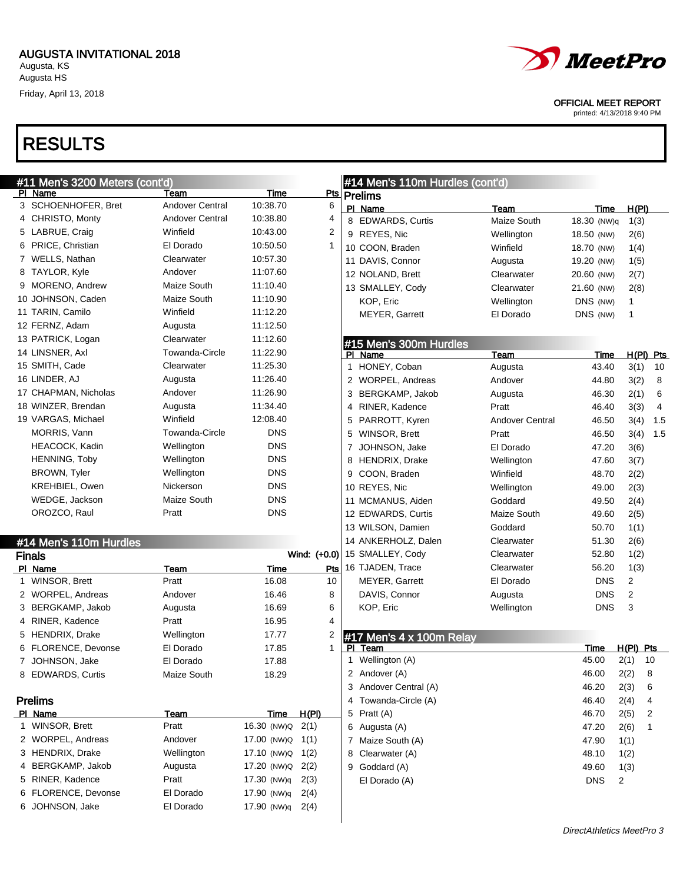# RESULTS

| #11 Men's 3200 Meters (cont'd) |                          |                        |             |              | #14 Men's 110m Hurdles (cont'd) |                          |                        |                        |                |             |
|--------------------------------|--------------------------|------------------------|-------------|--------------|---------------------------------|--------------------------|------------------------|------------------------|----------------|-------------|
|                                | PI Name                  | Team                   | Time        | <u>Pts</u>   |                                 | Prelims                  |                        |                        |                |             |
|                                | 3 SCHOENHOFER, Bret      | <b>Andover Central</b> | 10:38.70    | 6            |                                 | PI Name                  | Team                   | Time                   | H(PI)          |             |
|                                | 4 CHRISTO, Monty         | <b>Andover Central</b> | 10:38.80    | 4            |                                 | 8 EDWARDS, Curtis        | Maize South            | 18.30 (NW)q            | 1(3)           |             |
|                                | 5 LABRUE, Craig          | Winfield               | 10:43.00    | 2            |                                 | 9 REYES, Nic             | Wellington             | 18.50 (NW)             | 2(6)           |             |
|                                | 6 PRICE, Christian       | El Dorado              | 10:50.50    | 1            |                                 | 10 COON, Braden          | Winfield               | 18.70 (NW)             | 1(4)           |             |
|                                | 7 WELLS, Nathan          | Clearwater             | 10:57.30    |              |                                 | 11 DAVIS, Connor         | Augusta                | 19.20 (NW)             | 1(5)           |             |
|                                | 8 TAYLOR, Kyle           | Andover                | 11:07.60    |              |                                 | 12 NOLAND, Brett         | Clearwater             | 20.60 (NW)             | 2(7)           |             |
| 9                              | MORENO, Andrew           | Maize South            | 11:10.40    |              |                                 | 13 SMALLEY, Cody         | Clearwater             | 21.60 (NW)             | 2(8)           |             |
|                                | 10 JOHNSON, Caden        | Maize South            | 11:10.90    |              |                                 | KOP, Eric                | Wellington             | DNS (NW)               | 1              |             |
|                                | 11 TARIN, Camilo         | Winfield               | 11:12.20    |              |                                 | MEYER, Garrett           | El Dorado              | DNS (NW)               | 1              |             |
|                                | 12 FERNZ, Adam           | Augusta                | 11:12.50    |              |                                 |                          |                        |                        |                |             |
|                                | 13 PATRICK, Logan        | Clearwater             | 11:12.60    |              |                                 | #15 Men's 300m Hurdles   |                        |                        |                |             |
|                                | 14 LINSNER, Axl          | Towanda-Circle         | 11:22.90    |              |                                 | PI Name                  | Team                   | Time                   |                | $H(PI)$ Pts |
|                                | 15 SMITH, Cade           | Clearwater             | 11:25.30    |              |                                 | 1 HONEY, Coban           | Augusta                | 43.40                  | 3(1)           | 10          |
|                                | 16 LINDER, AJ            | Augusta                | 11:26.40    |              |                                 | 2 WORPEL, Andreas        | Andover                | 44.80                  | 3(2)           | 8           |
|                                | 17 CHAPMAN, Nicholas     | Andover                | 11:26.90    |              |                                 | 3 BERGKAMP, Jakob        | Augusta                | 46.30                  | 2(1)           | 6           |
|                                | 18 WINZER, Brendan       | Augusta                | 11:34.40    |              |                                 | 4 RINER, Kadence         | Pratt                  | 46.40                  | 3(3)           | 4           |
|                                | 19 VARGAS, Michael       | Winfield               | 12:08.40    |              | 5                               | PARROTT, Kyren           | <b>Andover Central</b> | 46.50                  | 3(4)           | 1.5         |
|                                | MORRIS, Vann             | Towanda-Circle         | <b>DNS</b>  |              | 5                               | <b>WINSOR, Brett</b>     | Pratt                  | 46.50                  | 3(4)           | 1.5         |
|                                | HEACOCK, Kadin           | Wellington             | <b>DNS</b>  |              |                                 | 7 JOHNSON, Jake          | El Dorado              | 47.20                  | 3(6)           |             |
|                                | <b>HENNING, Toby</b>     | Wellington             | <b>DNS</b>  |              |                                 | 8 HENDRIX, Drake         | Wellington             | 47.60                  | 3(7)           |             |
|                                | <b>BROWN, Tyler</b>      | Wellington             | <b>DNS</b>  |              |                                 | 9 COON, Braden           | Winfield               | 48.70                  | 2(2)           |             |
|                                | <b>KREHBIEL, Owen</b>    | Nickerson              | <b>DNS</b>  |              |                                 | 10 REYES, Nic            | Wellington             | 49.00                  | 2(3)           |             |
|                                | WEDGE, Jackson           | Maize South            | <b>DNS</b>  |              |                                 | 11 MCMANUS, Aiden        | Goddard                | 49.50                  | 2(4)           |             |
|                                | OROZCO, Raul             | Pratt                  | <b>DNS</b>  |              |                                 | 12 EDWARDS, Curtis       | Maize South            | 49.60                  | 2(5)           |             |
|                                |                          |                        |             |              |                                 | 13 WILSON, Damien        | Goddard                | 50.70                  | 1(1)           |             |
|                                | #14 Men's 110m Hurdles   |                        |             |              |                                 | 14 ANKERHOLZ, Dalen      | Clearwater             | 51.30                  | 2(6)           |             |
|                                | <b>Finals</b>            |                        |             | Wind: (+0.0) |                                 | 15 SMALLEY, Cody         | Clearwater             | 52.80                  | 1(2)           |             |
|                                | PI Name                  | Team                   | Time        | Pts          |                                 | 16 TJADEN, Trace         | Clearwater             | 56.20                  | 1(3)           |             |
|                                | 1 WINSOR, Brett          | Pratt                  | 16.08       | 10           |                                 | MEYER, Garrett           | El Dorado              | <b>DNS</b>             | 2              |             |
|                                | 2 WORPEL, Andreas        | Andover                | 16.46       | 8            |                                 | DAVIS, Connor            | Augusta                | <b>DNS</b>             | $\overline{2}$ |             |
|                                | 3 BERGKAMP, Jakob        | Augusta                | 16.69       | 6            |                                 | KOP, Eric                | Wellington             | <b>DNS</b>             | 3              |             |
|                                | 4 RINER, Kadence         | Pratt                  | 16.95       | 4            |                                 |                          |                        |                        |                |             |
|                                | 5 HENDRIX, Drake         | Wellington             | 17.77       | 2            |                                 | #17 Men's 4 x 100m Relay |                        |                        |                |             |
|                                | <b>FLORENCE, Devonse</b> | El Dorado              | 17.85       | 1            | PI.                             | Team                     |                        | Time                   | $H(PI)$ Pts    |             |
|                                | 7 JOHNSON, Jake          | El Dorado              | 17.88       |              |                                 | 1 Wellington (A)         |                        | 45.00                  | $2(1)$ 10      |             |
|                                | 8 EDWARDS, Curtis        | Maize South            | 18.29       |              |                                 | 2 Andover (A)            |                        | 46.00                  | 2(2)           | 8           |
|                                |                          |                        |             |              |                                 | 3 Andover Central (A)    |                        | 46.20                  | 2(3)           | 6           |
|                                | <b>Prelims</b>           |                        |             |              |                                 | 4 Towanda-Circle (A)     |                        | 46.40                  | 2(4)           | 4           |
|                                | PI Name                  | Team                   | Time        | H(PI)        |                                 | 5 Pratt (A)              |                        | 46.70                  | 2(5)           | 2           |
|                                | 1 WINSOR, Brett          | Pratt                  | 16.30 (NW)Q | 2(1)         |                                 | 6 Augusta (A)            |                        | 47.20                  | 2(6)           | -1          |
|                                | 2 WORPEL, Andreas        | Andover                | 17.00 (NW)Q | 1(1)         |                                 | 7 Maize South (A)        |                        | 47.90                  | 1(1)           |             |
|                                | 3 HENDRIX, Drake         | Wellington             | 17.10 (NW)Q | 1(2)         |                                 | 8 Clearwater (A)         |                        | 48.10                  | 1(2)           |             |
| 4                              | BERGKAMP, Jakob          | Augusta                | 17.20 (NW)Q | 2(2)         |                                 | 9 Goddard (A)            |                        | 49.60                  | 1(3)           |             |
| 5                              | RINER, Kadence           | Pratt                  | 17.30 (NW)q | 2(3)         |                                 | El Dorado (A)            |                        | <b>DNS</b>             | $\overline{2}$ |             |
| 6.                             | <b>FLORENCE, Devonse</b> | El Dorado              | 17.90 (NW)q | 2(4)         |                                 |                          |                        |                        |                |             |
| 6                              | JOHNSON, Jake            | El Dorado              | 17.90 (NW)g | 2(4)         |                                 |                          |                        |                        |                |             |
|                                |                          |                        |             |              |                                 |                          |                        | $A$ Athlation MontDron |                |             |



OFFICIAL MEET REPORT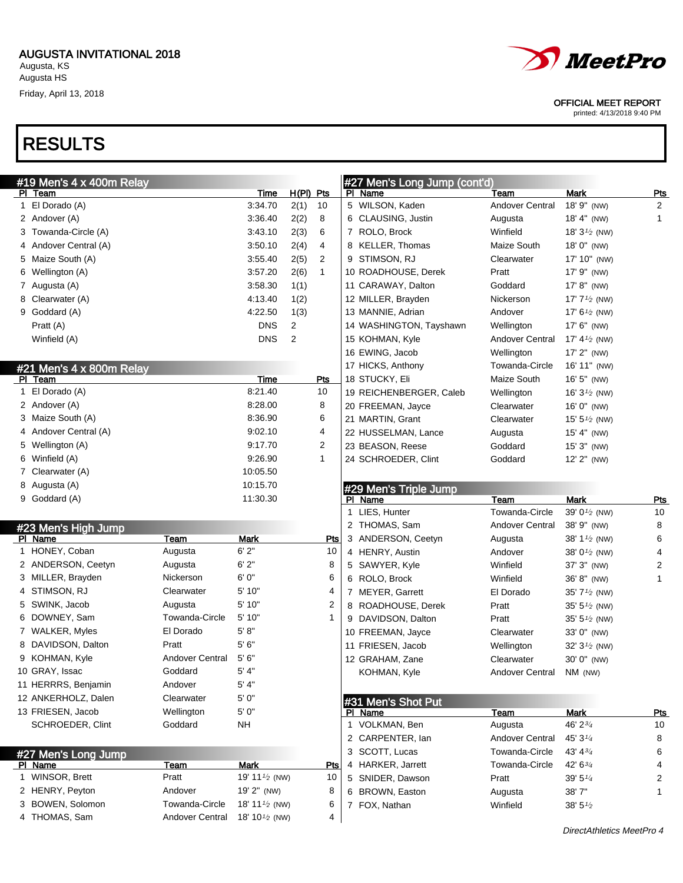

### OFFICIAL MEET REPORT

printed: 4/13/2018 9:40 PM

DirectAthletics MeetPro 4

# RESULTS

| #19 Men's 4 x 400m Relay |                 |                            |                |              | #27 Men's Long Jump (cont'd) |                         |                           |                |
|--------------------------|-----------------|----------------------------|----------------|--------------|------------------------------|-------------------------|---------------------------|----------------|
| PI Team                  |                 | <b>Time</b>                | H(PI)          | $P$ ts       | PI Name                      | Team                    | Mark                      | <u>Pts</u>     |
| 1 El Dorado (A)          |                 | 3:34.70                    | 2(1)           | 10           | 5 WILSON, Kaden              | Andover Central         | 18' 9" (NW)               | $\overline{2}$ |
| 2 Andover (A)            |                 | 3:36.40                    | 2(2)           | 8            | 6 CLAUSING, Justin           | Augusta                 | $18' 4''$ (NW)            | $\mathbf{1}$   |
| 3 Towanda-Circle (A)     |                 | 3:43.10                    | 2(3)           | 6            | 7 ROLO, Brock                | Winfield                | 18' $3\frac{1}{2}$ (NW)   |                |
| 4 Andover Central (A)    |                 | 3:50.10                    | 2(4)           | 4            | 8 KELLER, Thomas             | Maize South             | 18' 0" (NW)               |                |
| 5 Maize South (A)        |                 | 3:55.40                    | 2(5)           | 2            | 9 STIMSON, RJ                | Clearwater              | 17' 10" (NW)              |                |
| 6 Wellington (A)         |                 | 3:57.20                    | 2(6)           | $\mathbf{1}$ | 10 ROADHOUSE, Derek          | Pratt                   | 17' 9" (NW)               |                |
| 7 Augusta (A)            |                 | 3:58.30                    | 1(1)           |              | 11 CARAWAY, Dalton           | Goddard                 | 17' 8" (NW)               |                |
| 8 Clearwater (A)         |                 | 4:13.40                    | 1(2)           |              | 12 MILLER, Brayden           | Nickerson               | 17' $7\frac{1}{2}$ (NW)   |                |
| 9 Goddard (A)            |                 | 4:22.50                    | 1(3)           |              | 13 MANNIE, Adrian            | Andover                 | 17' $6\frac{1}{2}$ (NW)   |                |
| Pratt (A)                |                 | <b>DNS</b>                 | $\overline{2}$ |              | 14 WASHINGTON, Tayshawn      | Wellington              | 17' 6" (NW)               |                |
| Winfield (A)             |                 | <b>DNS</b>                 | 2              |              | 15 KOHMAN, Kyle              | <b>Andover Central</b>  | 17' $4\frac{1}{2}$ (NW)   |                |
|                          |                 |                            |                |              | 16 EWING, Jacob              | Wellington              | 17' 2" (NW)               |                |
| #21 Men's 4 x 800m Relay |                 |                            |                |              | 17 HICKS, Anthony            | Towanda-Circle          | 16' 11" (NW)              |                |
| PI Team                  |                 | <b>Time</b>                |                | Pts          | 18 STUCKY, Eli               | Maize South             | 16' 5" (NW)               |                |
| 1 El Dorado (A)          |                 | 8:21.40                    |                | 10           | 19 REICHENBERGER, Caleb      | Wellington              | 16' $3\frac{1}{2}$ (NW)   |                |
| 2 Andover (A)            |                 | 8:28.00                    |                | 8            | 20 FREEMAN, Jayce            | Clearwater              | 16' 0" (NW)               |                |
| 3 Maize South (A)        |                 | 8:36.90                    |                | 6            | 21 MARTIN, Grant             | Clearwater              | 15' $5\frac{1}{2}$ (NW)   |                |
| 4 Andover Central (A)    |                 | 9:02.10                    |                | 4            | 22 HUSSELMAN, Lance          | Augusta                 | $15' 4''$ (NW)            |                |
| 5 Wellington (A)         |                 | 9:17.70                    |                | 2            | 23 BEASON, Reese             | Goddard                 | 15' 3" (NW)               |                |
| 6 Winfield (A)           |                 | 9:26.90                    |                | 1            | 24 SCHROEDER, Clint          | Goddard                 | $12'$ $2''$ (NW)          |                |
| 7 Clearwater (A)         |                 | 10:05.50                   |                |              |                              |                         |                           |                |
| 8 Augusta (A)            |                 | 10:15.70                   |                |              | #29 Men's Triple Jump        |                         |                           |                |
| 9 Goddard (A)            |                 | 11:30.30                   |                |              | PI Name                      | Team                    | Mark                      | <b>Pts</b>     |
|                          |                 |                            |                |              | 1 LIES, Hunter               | Towanda-Circle          | 39' $0\frac{1}{2}$ (NW)   | 10             |
| #23 Men's High Jump      |                 |                            |                |              | 2 THOMAS, Sam                | <b>Andover Central</b>  | 38' 9" (NW)               | 8              |
| PI Name                  | Team            | Mark                       |                | <u>Pts</u>   | 3 ANDERSON, Ceetyn           | Augusta                 | 38' $1\frac{1}{2}$ (NW)   | 6              |
| 1 HONEY, Coban           | Augusta         | 6'2''                      |                | 10           | 4 HENRY, Austin              | Andover                 | 38' $0\frac{1}{2}$ (NW)   | 4              |
| 2 ANDERSON, Ceetyn       | Augusta         | 6'2''                      |                | 8            | 5 SAWYER, Kyle               | Winfield                | 37' 3" (NW)               | 2              |
| 3 MILLER, Brayden        | Nickerson       | 6'0''                      |                | 6            | 6 ROLO, Brock                | Winfield                | 36' 8" (NW)               | 1              |
| 4 STIMSON, RJ            | Clearwater      | 5'10"                      |                | 4            | 7 MEYER, Garrett             | El Dorado               | 35' 7 <sup>1/2</sup> (NW) |                |
| 5 SWINK, Jacob           | Augusta         | 5' 10"                     |                | 2            | 8 ROADHOUSE, Derek           | Pratt                   | 35' 5 <sup>1/2</sup> (NW) |                |
| 6 DOWNEY, Sam            | Towanda-Circle  | 5' 10"                     |                | 1            | 9 DAVIDSON, Dalton           | Pratt                   | 35' 5 <sup>1/2</sup> (NW) |                |
| 7 WALKER, Myles          | El Dorado       | 5' 8''                     |                |              | 10 FREEMAN, Jayce            | Clearwater              | 33' 0" (NW)               |                |
| DAVIDSON, Dalton         | Pratt           | 5'6''                      |                |              | 11 FRIESEN, Jacob            | Wellington              | 32' 3 <sup>1/2</sup> (NW) |                |
| 9 KOHMAN, Kyle           | Andover Central | 5'6''                      |                |              | 12 GRAHAM, Zane              | Clearwater              | 30' 0" (NW)               |                |
| 10 GRAY, Issac           | Goddard         | 5' 4'                      |                |              | KOHMAN, Kyle                 | Andover Central NM (NW) |                           |                |
| 11 HERRRS, Benjamin      | Andover         | 5' 4''                     |                |              |                              |                         |                           |                |
| 12 ANKERHOLZ, Dalen      | Clearwater      | $5'0''$                    |                |              | #31 Men's Shot Put           |                         |                           |                |
| 13 FRIESEN, Jacob        | Wellington      | $5'0''$                    |                |              | PI Name                      | Team                    | Mark                      | Pts            |
| <b>SCHROEDER, Clint</b>  | Goddard         | <b>NH</b>                  |                |              | 1 VOLKMAN, Ben               | Augusta                 | 46' 23/4                  | 10             |
|                          |                 |                            |                |              | 2 CARPENTER, Ian             | Andover Central         | 45' 3 $\frac{1}{4}$       | 8              |
| #27 Men's Long Jump      |                 |                            |                |              | 3 SCOTT, Lucas               | Towanda-Circle          | 43' 434                   | 6              |
| PI Name                  | <u>Team</u>     | <b>Mark</b>                |                | <u>Pts</u>   | 4 HARKER, Jarrett            | Towanda-Circle          | 42' 63/4                  | 4              |
| 1 WINSOR, Brett          | Pratt           | 19' 11 <sup>1/2</sup> (NW) |                | 10           | 5 SNIDER, Dawson             | Pratt                   | $39' 5\%$                 | 2              |
| 2 HENRY, Peyton          | Andover         | 19' 2" (NW)                |                | 8            | 6 BROWN, Easton              | Augusta                 | 38'7"                     | 1              |
| 3 BOWEN, Solomon         | Towanda-Circle  | 18' 11 $\frac{1}{2}$ (NW)  |                | 6            | 7 FOX, Nathan                | Winfield                | $38' 5\%$                 |                |
| 4 THOMAS, Sam            | Andover Central | 18' 10 $\frac{1}{2}$ (NW)  |                | 4            |                              |                         |                           |                |
|                          |                 |                            |                |              |                              |                         |                           |                |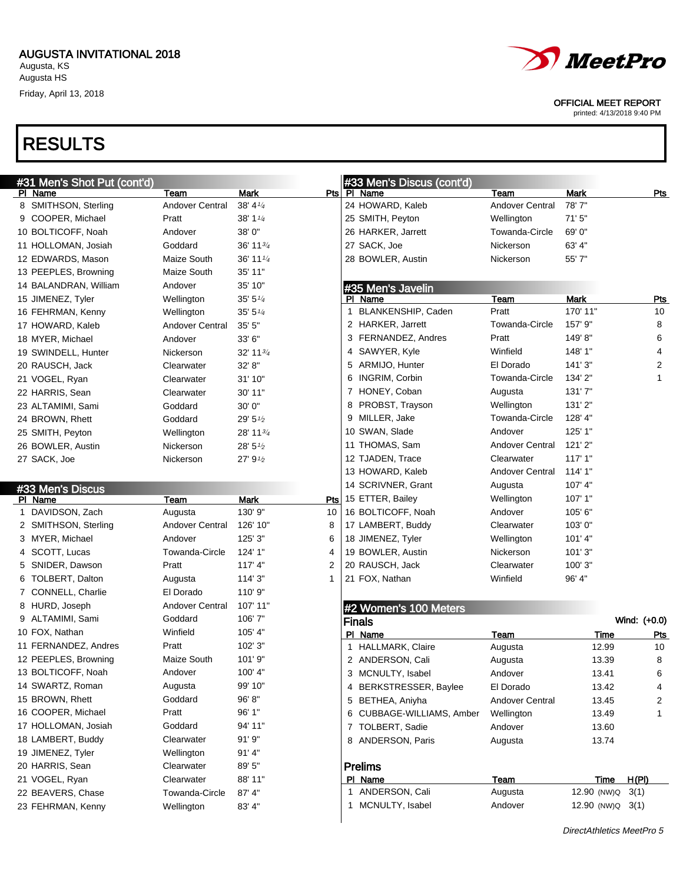# RESULTS

| #31 Men's Shot Put (cont'd)<br>PI Name | Team            | Mark                   | <b>Pts</b> | #33 Men's Discus (cont'd)<br>  PI Name | Team                   | <b>Mark</b>         | <u>Pts</u>              |
|----------------------------------------|-----------------|------------------------|------------|----------------------------------------|------------------------|---------------------|-------------------------|
| 8 SMITHSON, Sterling                   | Andover Central | $38' 4\frac{1}{4}$     |            | 24 HOWARD, Kaleb                       | Andover Central        | 78'7"               |                         |
| 9 COOPER, Michael                      | Pratt           | 38' 1 $\frac{1}{4}$    |            | 25 SMITH, Peyton                       | Wellington             | 71'5''              |                         |
| 10 BOLTICOFF, Noah                     | Andover         | 38'0"                  |            | 26 HARKER, Jarrett                     | Towanda-Circle         | 69' 0"              |                         |
| 11 HOLLOMAN, Josiah                    | Goddard         | 36' 1134               |            | 27 SACK, Joe                           | Nickerson              | 63' 4"              |                         |
| 12 EDWARDS, Mason                      | Maize South     | 36' 11 1/4             |            | 28 BOWLER, Austin                      | Nickerson              | 55' 7"              |                         |
| 13 PEEPLES, Browning                   | Maize South     | 35' 11"                |            |                                        |                        |                     |                         |
| 14 BALANDRAN, William                  | Andover         | 35' 10"                |            | #35 Men's Javelin                      |                        |                     |                         |
| 15 JIMENEZ, Tyler                      | Wellington      | $35'$ 5 $\frac{1}{4}$  |            | PI Name                                | Team                   | <b>Mark</b>         | <b>Pts</b>              |
| 16 FEHRMAN, Kenny                      | Wellington      | $35'$ 5 $\frac{1}{4}$  |            | 1 BLANKENSHIP, Caden                   | Pratt                  | 170' 11"            | 10                      |
| 17 HOWARD, Kaleb                       | Andover Central | 35' 5"                 |            | 2 HARKER, Jarrett                      | Towanda-Circle         | 157' 9"             | 8                       |
| 18 MYER, Michael                       | Andover         | 33' 6"                 |            | 3 FERNANDEZ, Andres                    | Pratt                  | 149'8"              | 6                       |
| 19 SWINDELL, Hunter                    | Nickerson       | $32'$ 11 $\frac{3}{4}$ |            | 4 SAWYER, Kyle                         | Winfield               | 148' 1"             | $\overline{\mathbf{4}}$ |
| 20 RAUSCH, Jack                        | Clearwater      | 32' 8"                 |            | 5 ARMIJO, Hunter                       | El Dorado              | 141'3''             | 2                       |
| 21 VOGEL, Ryan                         | Clearwater      | 31' 10"                |            | 6 INGRIM, Corbin                       | Towanda-Circle         | 134' 2"             | $\mathbf{1}$            |
| 22 HARRIS, Sean                        | Clearwater      | 30' 11"                |            | 7 HONEY, Coban                         | Augusta                | 131'7"              |                         |
| 23 ALTAMIMI, Sami                      | Goddard         | 30' 0"                 |            | 8 PROBST, Trayson                      | Wellington             | 131'2"              |                         |
| 24 BROWN, Rhett                        | Goddard         | 29' 51/2               |            | 9 MILLER, Jake                         | Towanda-Circle         | 128' 4"             |                         |
| 25 SMITH, Peyton                       | Wellington      | 28' 113/4              |            | 10 SWAN, Slade                         | Andover                | 125' 1"             |                         |
| 26 BOWLER, Austin                      | Nickerson       | $28' 5\frac{1}{2}$     |            | 11 THOMAS, Sam                         | Andover Central        | 121'2"              |                         |
| 27 SACK, Joe                           | Nickerson       | 27' 9 $\frac{1}{2}$    |            | 12 TJADEN, Trace                       | Clearwater             | 117' 1"             |                         |
|                                        |                 |                        |            | 13 HOWARD, Kaleb                       | <b>Andover Central</b> | 114' 1"             |                         |
|                                        |                 |                        |            | 14 SCRIVNER, Grant                     | Augusta                | 107' 4"             |                         |
| #33 Men's Discus<br>PI Name            | Team            | <b>Mark</b>            |            | Pts 15 ETTER, Bailey                   | Wellington             | 107' 1"             |                         |
| 1 DAVIDSON, Zach                       | Augusta         | 130' 9"                | 10         | 16 BOLTICOFF, Noah                     | Andover                | 105' 6"             |                         |
| 2 SMITHSON, Sterling                   | Andover Central | 126' 10"               | 8          | 17 LAMBERT, Buddy                      | Clearwater             | 103' 0"             |                         |
| 3 MYER, Michael                        | Andover         | 125' 3"                | 6          | 18 JIMENEZ, Tyler                      | Wellington             | 101'4"              |                         |
| 4 SCOTT, Lucas                         | Towanda-Circle  | 124' 1"                | 4          | 19 BOWLER, Austin                      | Nickerson              | 101'3"              |                         |
| 5 SNIDER, Dawson                       | Pratt           | 117' 4"                | 2          | 20 RAUSCH, Jack                        | Clearwater             | 100' 3"             |                         |
| 6 TOLBERT, Dalton                      | Augusta         | 114' 3"                | 1          | 21 FOX, Nathan                         | Winfield               | 96' 4"              |                         |
| 7 CONNELL, Charlie                     | El Dorado       | 110' 9"                |            |                                        |                        |                     |                         |
| 8 HURD, Joseph                         | Andover Central | 107' 11"               |            |                                        |                        |                     |                         |
| 9 ALTAMIMI, Sami                       | Goddard         | 106'7"                 |            | #2 Women's 100 Meters                  |                        |                     |                         |
| 10 FOX, Nathan                         | Winfield        | 105' 4"                |            | <b>Finals</b>                          |                        |                     | Wind: (+0.0)            |
| 11 FERNANDEZ, Andres                   | Pratt           | 102' 3"                |            | PI Name<br>1 HALLMARK, Claire          | Team                   | Time                | <u>Pts</u>              |
| 12 PEEPLES, Browning                   | Maize South     | 101' 9"                |            |                                        | Augusta                | 12.99               | 10<br>8                 |
| 13 BOLTICOFF, Noah                     | Andover         | 100' 4"                |            | 2 ANDERSON, Cali                       | Augusta                | 13.39               |                         |
| 14 SWARTZ, Roman                       | Augusta         | 99' 10"                |            | 3 MCNULTY, Isabel                      | Andover                | 13.41               | 6                       |
| 15 BROWN, Rhett                        | Goddard         | 96'8"                  |            | 4 BERKSTRESSER, Baylee                 | El Dorado              | 13.42               | 4                       |
| 16 COOPER, Michael                     | Pratt           | 96' 1"                 |            | 5 BETHEA, Aniyha                       | Andover Central        | 13.45               | 2                       |
|                                        | Goddard         | 94' 11"                |            | 6 CUBBAGE-WILLIAMS, Amber              | Wellington             | 13.49               | 1                       |
| 17 HOLLOMAN, Josiah                    |                 |                        |            | 7 TOLBERT, Sadie                       | Andover                | 13.60               |                         |
| 18 LAMBERT, Buddy                      | Clearwater      | 91' 9"                 |            | 8 ANDERSON, Paris                      | Augusta                | 13.74               |                         |
| 19 JIMENEZ, Tyler                      | Wellington      | $91'$ 4"               |            |                                        |                        |                     |                         |
| 20 HARRIS, Sean                        | Clearwater      | 89' 5"                 |            | <b>Prelims</b>                         |                        |                     |                         |
| 21 VOGEL, Ryan                         | Clearwater      | 88' 11"                |            | PI Name<br>1 ANDERSON, Cali            | Team<br>Augusta        | Time<br>12.90 (NW)Q | H(PI)                   |
| 22 BEAVERS, Chase                      | Towanda-Circle  | 87' 4"                 |            | 1 MCNULTY, Isabel                      | Andover                | 12.90 (NW)Q 3(1)    | 3(1)                    |
| 23 FEHRMAN, Kenny                      | Wellington      | 83' 4"                 |            |                                        |                        |                     |                         |



OFFICIAL MEET REPORT

printed: 4/13/2018 9:40 PM

DirectAthletics MeetPro 5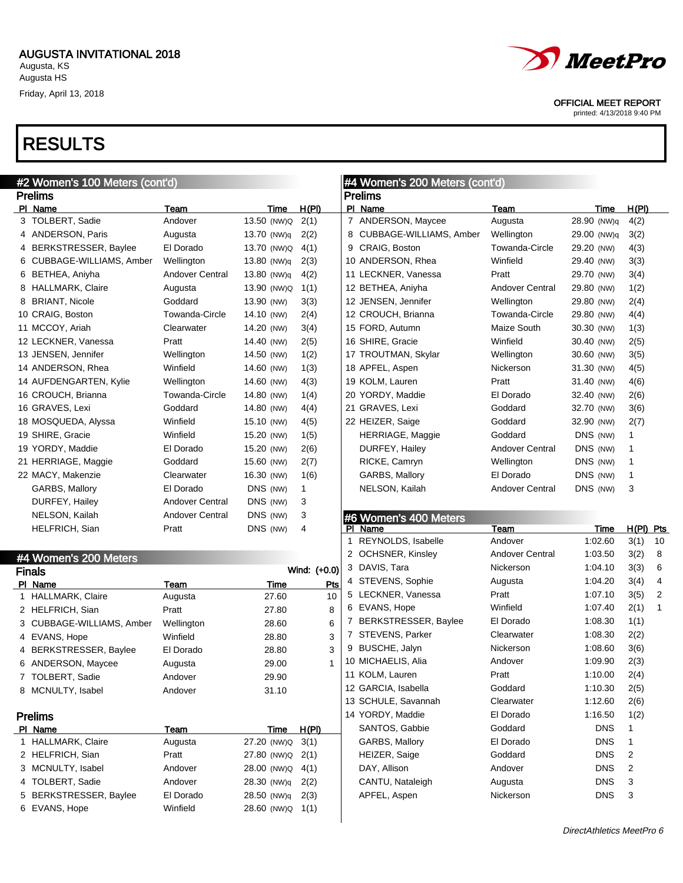BERKSTRESSER, Baylee El Dorado 28.50 (NW)q 2(3) EVANS, Hope Winfield 28.60 (NW)Q 1(1)



OFFICIAL MEET REPORT

printed: 4/13/2018 9:40 PM

### RESULTS

|                | #2 Women's 100 Meters (cont'd) |                        |             | #4 Women's 200 Meters (cont'd) |   |                           |                        |             |           |                |  |
|----------------|--------------------------------|------------------------|-------------|--------------------------------|---|---------------------------|------------------------|-------------|-----------|----------------|--|
| <b>Prelims</b> |                                |                        |             |                                |   | <b>Prelims</b>            |                        |             |           |                |  |
|                | PI Name                        | Team                   | Time        | H(PI)                          |   | PI Name                   | Team                   | Time        | H(PI)     |                |  |
|                | 3 TOLBERT, Sadie               | Andover                | 13.50 (NW)Q | 2(1)                           |   | 7 ANDERSON, Maycee        | Augusta                | 28.90 (NW)q | 4(2)      |                |  |
|                | 4 ANDERSON, Paris              | Augusta                | 13.70 (NW)q | 2(2)                           |   | 8 CUBBAGE-WILLIAMS, Amber | Wellington             | 29.00 (NW)q | 3(2)      |                |  |
|                | 4 BERKSTRESSER, Baylee         | El Dorado              | 13.70 (NW)Q | 4(1)                           |   | 9 CRAIG, Boston           | Towanda-Circle         | 29.20 (NW)  | 4(3)      |                |  |
|                | 6 CUBBAGE-WILLIAMS, Amber      | Wellington             | 13.80 (NW)q | 2(3)                           |   | 10 ANDERSON, Rhea         | Winfield               | 29.40 (NW)  | 3(3)      |                |  |
|                | 6 BETHEA, Aniyha               | <b>Andover Central</b> | 13.80 (NW)q | 4(2)                           |   | 11 LECKNER, Vanessa       | Pratt                  | 29.70 (NW)  | 3(4)      |                |  |
|                | 8 HALLMARK, Claire             | Augusta                | 13.90 (NW)Q | 1(1)                           |   | 12 BETHEA, Aniyha         | <b>Andover Central</b> | 29.80 (NW)  | 1(2)      |                |  |
|                | 8 BRIANT, Nicole               | Goddard                | 13.90 (NW)  | 3(3)                           |   | 12 JENSEN, Jennifer       | Wellington             | 29.80 (NW)  | 2(4)      |                |  |
|                | 10 CRAIG, Boston               | <b>Towanda-Circle</b>  | 14.10 (NW)  | 2(4)                           |   | 12 CROUCH, Brianna        | Towanda-Circle         | 29.80 (NW)  | 4(4)      |                |  |
|                | 11 MCCOY, Ariah                | Clearwater             | 14.20 (NW)  | 3(4)                           |   | 15 FORD, Autumn           | Maize South            | 30.30 (NW)  | 1(3)      |                |  |
|                | 12 LECKNER, Vanessa            | Pratt                  | 14.40 (NW)  | 2(5)                           |   | 16 SHIRE, Gracie          | Winfield               | 30.40 (NW)  | 2(5)      |                |  |
|                | 13 JENSEN, Jennifer            | Wellington             | 14.50 (NW)  | 1(2)                           |   | 17 TROUTMAN, Skylar       | Wellington             | 30.60 (NW)  | 3(5)      |                |  |
|                | 14 ANDERSON, Rhea              | Winfield               | 14.60 (NW)  | 1(3)                           |   | 18 APFEL, Aspen           | Nickerson              | 31.30 (NW)  | 4(5)      |                |  |
|                | 14 AUFDENGARTEN, Kylie         | Wellington             | 14.60 (NW)  | 4(3)                           |   | 19 KOLM, Lauren           | Pratt                  | 31.40 (NW)  | 4(6)      |                |  |
|                | 16 CROUCH, Brianna             | Towanda-Circle         | 14.80 (NW)  | 1(4)                           |   | 20 YORDY, Maddie          | El Dorado              | 32.40 (NW)  | 2(6)      |                |  |
|                | 16 GRAVES, Lexi                | Goddard                | 14.80 (NW)  | 4(4)                           |   | 21 GRAVES, Lexi           | Goddard                | 32.70 (NW)  | 3(6)      |                |  |
|                | 18 MOSQUEDA, Alyssa            | Winfield               | 15.10 (NW)  | 4(5)                           |   | 22 HEIZER, Saige          | Goddard                | 32.90 (NW)  | 2(7)      |                |  |
|                | 19 SHIRE, Gracie               | Winfield               | 15.20 (NW)  | 1(5)                           |   | <b>HERRIAGE, Maggie</b>   | Goddard                | DNS (NW)    | 1         |                |  |
|                | 19 YORDY, Maddie               | El Dorado              | 15.20 (NW)  | 2(6)                           |   | DURFEY, Hailey            | <b>Andover Central</b> | DNS (NW)    | 1         |                |  |
|                | 21 HERRIAGE, Maggie            | Goddard                | 15.60 (NW)  | 2(7)                           |   | RICKE, Camryn             | Wellington             | DNS (NW)    | 1         |                |  |
|                | 22 MACY, Makenzie              | Clearwater             | 16.30 (NW)  | 1(6)                           |   | GARBS, Mallory            | El Dorado              | DNS (NW)    | 1         |                |  |
|                | GARBS, Mallory                 | El Dorado              | DNS (NW)    | 1                              |   | NELSON, Kailah            | <b>Andover Central</b> | DNS (NW)    | 3         |                |  |
|                | DURFEY, Hailey                 | <b>Andover Central</b> | DNS (NW)    | 3                              |   |                           |                        |             |           |                |  |
|                | NELSON, Kailah                 | <b>Andover Central</b> | DNS (NW)    | 3                              |   | #6 Women's 400 Meters     |                        |             |           |                |  |
|                | HELFRICH, Sian                 | Pratt                  | DNS (NW)    | 4                              |   | PI Name                   | Team                   | Time        | H(PI) Pts |                |  |
|                |                                |                        |             |                                | 1 | REYNOLDS, Isabelle        | Andover                | 1:02.60     | 3(1)      | 10             |  |
|                | #4 Women's 200 Meters          |                        |             |                                |   | 2 OCHSNER, Kinsley        | <b>Andover Central</b> | 1:03.50     | 3(2)      | 8              |  |
|                | <b>Finals</b>                  |                        |             | Wind: (+0.0)                   |   | 3 DAVIS, Tara             | Nickerson              | 1:04.10     | 3(3)      | 6              |  |
|                | PI Name                        | Team                   | Time        | Pts                            |   | 4 STEVENS, Sophie         | Augusta                | 1:04.20     | 3(4)      | 4              |  |
|                | 1 HALLMARK, Claire             | Augusta                | 27.60       | 10                             |   | 5 LECKNER, Vanessa        | Pratt                  | 1:07.10     | 3(5)      | $\overline{2}$ |  |
|                | 2 HELFRICH, Sian               | Pratt                  | 27.80       | 8                              |   | 6 EVANS, Hope             | Winfield               | 1:07.40     | 2(1)      | $\mathbf{1}$   |  |
|                | 3 CUBBAGE-WILLIAMS, Amber      | Wellington             | 28.60       | 6                              |   | 7 BERKSTRESSER, Baylee    | El Dorado              | 1:08.30     | 1(1)      |                |  |
|                | 4 EVANS, Hope                  | Winfield               | 28.80       | 3                              |   | 7 STEVENS, Parker         | Clearwater             | 1:08.30     | 2(2)      |                |  |
|                | 4 BERKSTRESSER, Baylee         | El Dorado              | 28.80       | 3                              |   | 9 BUSCHE, Jalyn           | Nickerson              | 1:08.60     | 3(6)      |                |  |
|                | 6 ANDERSON, Maycee             |                        | 29.00       | 1                              |   | 10 MICHAELIS, Alia        | Andover                | 1:09.90     | 2(3)      |                |  |
|                | 7 TOLBERT, Sadie               | Augusta                | 29.90       |                                |   | 11 KOLM, Lauren           | Pratt                  | 1:10.00     | 2(4)      |                |  |
|                | 8 MCNULTY, Isabel              | Andover                |             |                                |   | 12 GARCIA, Isabella       | Goddard                | 1:10.30     | 2(5)      |                |  |
|                |                                | Andover                | 31.10       |                                |   | 13 SCHULE, Savannah       | Clearwater             | 1:12.60     | 2(6)      |                |  |
|                | <b>Prelims</b>                 |                        |             |                                |   | 14 YORDY, Maddie          | El Dorado              | 1:16.50     | 1(2)      |                |  |
|                | PI Name                        | Team                   | Time        | H(PI)                          |   | SANTOS, Gabbie            | Goddard                | <b>DNS</b>  | -1        |                |  |
|                | 1 HALLMARK, Claire             | Augusta                | 27.20 (NW)Q | 3(1)                           |   | GARBS, Mallory            | El Dorado              | <b>DNS</b>  | 1         |                |  |
|                | 2 HELFRICH, Sian               | Pratt                  | 27.80 (NW)Q | 2(1)                           |   | HEIZER, Saige             | Goddard                | <b>DNS</b>  | 2         |                |  |
|                | 3 MCNULTY, Isabel              | Andover                | 28.00 (NW)Q | 4(1)                           |   | DAY, Allison              | Andover                | <b>DNS</b>  | 2         |                |  |
|                | 4 TOLBERT, Sadie               | Andover                | 28.30 (NW)q | 2(2)                           |   | CANTU, Nataleigh          | Augusta                | <b>DNS</b>  | 3         |                |  |
|                |                                |                        |             |                                |   |                           |                        |             |           |                |  |

APFEL, Aspen **Nickerson DNS** 3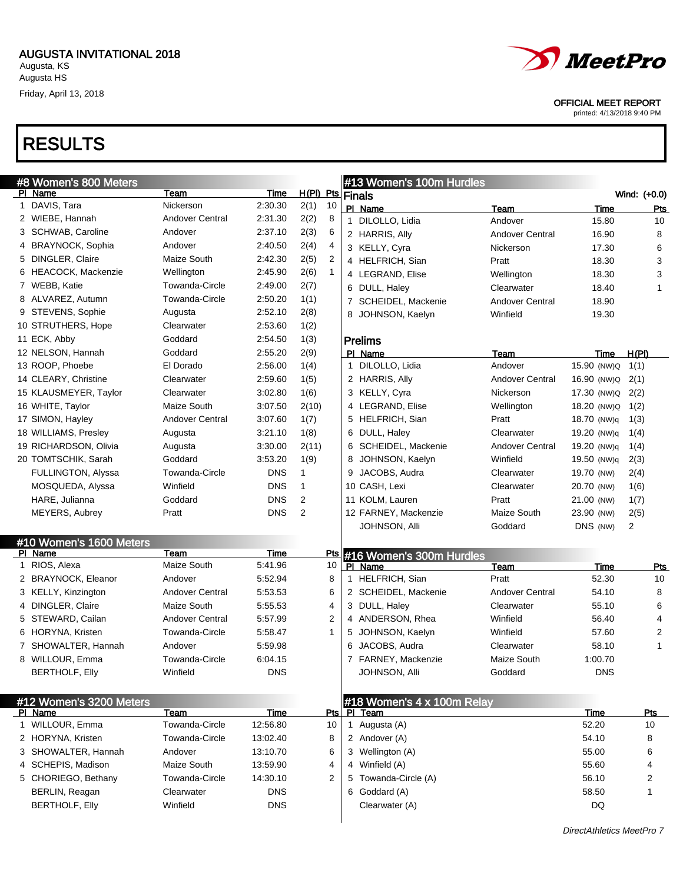Friday, April 13, 2018

## RESULTS





OFFICIAL MEET REPORT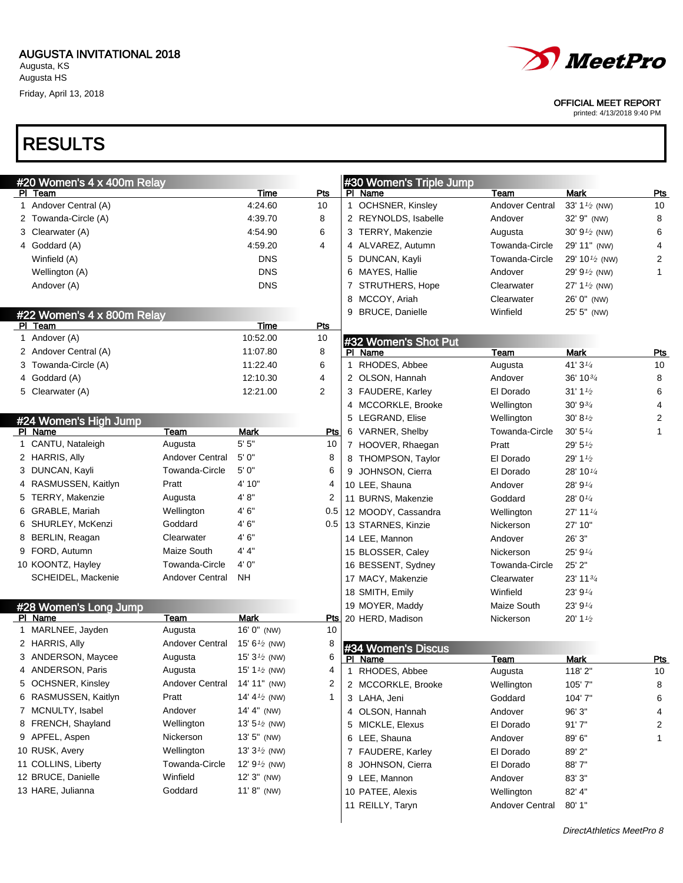Friday, April 13, 2018



### OFFICIAL MEET REPORT

printed: 4/13/2018 9:40 PM

## RESULTS

| #20 Women's 4 x 400m Relay       |                       |                          |                |   | #30 Women's Triple Jump    |                 |                                   |                    |
|----------------------------------|-----------------------|--------------------------|----------------|---|----------------------------|-----------------|-----------------------------------|--------------------|
| PI Team                          |                       | Time                     | Pts            |   | PI Name                    | Team            | <b>Mark</b>                       | Pts                |
| 1 Andover Central (A)            |                       | 4:24.60                  | 10             |   | 1 OCHSNER, Kinsley         | Andover Central | 33' $1\frac{1}{2}$ (NW)           | 10                 |
| 2 Towanda-Circle (A)             |                       | 4:39.70                  | 8              |   | 2 REYNOLDS, Isabelle       | Andover         | 32' 9" (NW)                       | 8                  |
| 3 Clearwater (A)                 |                       | 4:54.90                  | 6              |   | 3 TERRY, Makenzie          | Augusta         | 30' $9\frac{1}{2}$ (NW)           | 6                  |
| 4 Goddard (A)                    |                       | 4:59.20                  | 4              |   | 4 ALVAREZ, Autumn          | Towanda-Circle  | 29' 11" (NW)                      | 4                  |
| Winfield (A)                     |                       | <b>DNS</b>               |                |   | 5 DUNCAN, Kayli            | Towanda-Circle  | 29' 10 $\frac{1}{2}$ (NW)         | 2                  |
| Wellington (A)                   |                       | <b>DNS</b>               |                |   | 6 MAYES, Hallie            | Andover         | 29' $9\frac{1}{2}$ (NW)           | $\mathbf{1}$       |
| Andover (A)                      |                       | <b>DNS</b>               |                |   | 7 STRUTHERS, Hope          | Clearwater      | 27' $1\frac{1}{2}$ (NW)           |                    |
|                                  |                       |                          |                |   | 8 MCCOY, Ariah             | Clearwater      | 26' 0" (NW)                       |                    |
| #22 Women's 4 x 800m Relay       |                       |                          |                |   | 9 BRUCE, Danielle          | Winfield        | 25' 5" (NW)                       |                    |
| PI Team                          |                       | Time                     | Pts            |   |                            |                 |                                   |                    |
| 1 Andover (A)                    |                       | 10:52.00                 | 10             |   | #32 Women's Shot Put       |                 |                                   |                    |
| 2 Andover Central (A)            |                       | 11:07.80                 | 8              |   | PI Name                    | Team            | <b>Mark</b>                       | <b>Pts</b>         |
| 3 Towanda-Circle (A)             |                       | 11:22.40                 | 6              | 1 | RHODES, Abbee              | Augusta         | 41' 31/4                          | 10                 |
| 4 Goddard (A)                    |                       | 12:10.30                 | 4              |   | 2 OLSON, Hannah            | Andover         | $36' 10^{3/4}$                    | 8                  |
| 5 Clearwater (A)                 |                       | 12:21.00                 | $\overline{2}$ |   | 3 FAUDERE, Karley          | El Dorado       | 31' 1 <sup>1</sup> / <sub>2</sub> | 6                  |
|                                  |                       |                          |                |   | 4 MCCORKLE, Brooke         | Wellington      | 30'93'                            | 4                  |
| #24 Women's High Jump            |                       |                          |                |   | 5 LEGRAND, Elise           | Wellington      | $30' 8\frac{1}{2}$                | 2                  |
| PI Name                          | Team                  | Mark                     | <u>Pts</u>     |   | 6 VARNER, Shelby           | Towanda-Circle  | $30' 5\frac{1}{4}$                | $\mathbf{1}$       |
| 1 CANTU, Nataleigh               | Augusta               | $5'$ $5"$                | 10             |   | 7 HOOVER, Rhaegan          | Pratt           | 29' 5 $\frac{1}{2}$               |                    |
| 2 HARRIS, Ally                   | Andover Central       | 5'0''                    | 8              |   | 8 THOMPSON, Taylor         | El Dorado       | 29' 1 1/2                         |                    |
| 3 DUNCAN, Kayli                  | Towanda-Circle        | 5'0''                    | 6              |   | 9 JOHNSON, Cierra          | El Dorado       | 28' 10 $\frac{1}{4}$              |                    |
| 4 RASMUSSEN, Kaitlyn             | Pratt                 | 4' 10"                   | 4              |   | 10 LEE, Shauna             | Andover         | 28' 91/4                          |                    |
| 5 TERRY, Makenzie                | Augusta               | 4'8"                     | 2              |   | 11 BURNS, Makenzie         | Goddard         | 28' 01/4                          |                    |
| 6 GRABLE, Mariah                 | Wellington            | 4' 6"                    | 0.5            |   | 12 MOODY, Cassandra        | Wellington      | 27' 11 $\frac{1}{4}$              |                    |
| 6 SHURLEY, McKenzi               | Goddard               | 4' 6"                    | 0.5            |   | 13 STARNES, Kinzie         | Nickerson       | 27' 10"                           |                    |
| 8 BERLIN, Reagan                 | Clearwater            | 4' 6"                    |                |   | 14 LEE, Mannon             | Andover         | 26' 3"                            |                    |
| 9 FORD, Autumn                   | Maize South           | 4' 4"                    |                |   | 15 BLOSSER, Caley          | Nickerson       | 25' 91/4                          |                    |
| 10 KOONTZ, Hayley                | Towanda-Circle        | 4'0''                    |                |   | 16 BESSENT, Sydney         | Towanda-Circle  | 25' 2"                            |                    |
| SCHEIDEL, Mackenie               | Andover Central       | NΗ                       |                |   | 17 MACY, Makenzie          | Clearwater      | 23' 1134                          |                    |
|                                  |                       |                          |                |   |                            | Winfield        | 23' 91/4                          |                    |
|                                  |                       |                          |                |   | 18 SMITH, Emily            |                 |                                   |                    |
| #28 Women's Long Jump<br>PI Name | <u>Team</u>           | <b>Mark</b>              | <u>Pts</u>     |   | 19 MOYER, Maddy            | Maize South     | 23' 91/4                          |                    |
| 1 MARLNEE, Jayden                | Augusta               | 16' 0" (NW)              | 10             |   | 20 HERD, Madison           | Nickerson       | $20'$ 1 $\frac{1}{2}$             |                    |
| 2 HARRIS, Ally                   | Andover Central       | 15' 6 $\frac{1}{2}$ (NW) | 8              |   |                            |                 |                                   |                    |
| 3 ANDERSON, Maycee               | Augusta               | 15' $3\frac{1}{2}$ (NW)  | 6              |   | #34 Women's Discus         |                 |                                   |                    |
| 4 ANDERSON, Paris                | Augusta               | 15' 1 $\frac{1}{2}$ (NW) | 4              |   | PI Name<br>1 RHODES, Abbee | Team            | Mark<br>118'2"                    | <u>Pts</u><br>$10$ |
| 5 OCHSNER, Kinsley               | Andover Central       | 14' 11" (NW)             | 2              |   |                            | Augusta         |                                   |                    |
|                                  | Pratt                 |                          | 1              |   | 2 MCCORKLE, Brooke         | Wellington      | 105'7"                            | 8                  |
| 6 RASMUSSEN, Kaitlyn             |                       | 14' $4\frac{1}{2}$ (NW)  |                |   | 3 LAHA, Jeni               | Goddard         | 104'7"                            | 6                  |
| 7 MCNULTY, Isabel                | Andover<br>Wellington | $14' 4''$ (NW)           |                |   | 4 OLSON, Hannah            | Andover         | 96' 3"                            | 4                  |
| 8 FRENCH, Shayland               |                       | 13' $5\frac{1}{2}$ (NW)  |                |   | 5 MICKLE, Elexus           | El Dorado       | 91'7"                             | 2                  |
| 9 APFEL, Aspen                   | Nickerson             | $13'5''$ (NW)            |                |   | 6 LEE, Shauna              | Andover         | 89' 6"                            | 1                  |
| 10 RUSK, Avery                   | Wellington            | 13' $3\frac{1}{2}$ (NW)  |                |   | 7 FAUDERE, Karley          | El Dorado       | 89' 2"                            |                    |
| 11 COLLINS, Liberty              | Towanda-Circle        | 12' $9^{1/2}$ (NW)       |                |   | 8 JOHNSON, Cierra          | El Dorado       | 88'7"                             |                    |
| 12 BRUCE, Danielle               | Winfield              | $12'3''$ (NW)            |                |   | 9 LEE, Mannon              | Andover         | 83' 3"                            |                    |
| 13 HARE, Julianna                | Goddard               | $11' 8''$ (NW)           |                |   | 10 PATEE, Alexis           | Wellington      | 82' 4"                            |                    |
|                                  |                       |                          |                |   | 11 REILLY, Taryn           | Andover Central | 80'1"                             |                    |
|                                  |                       |                          |                |   |                            |                 |                                   |                    |